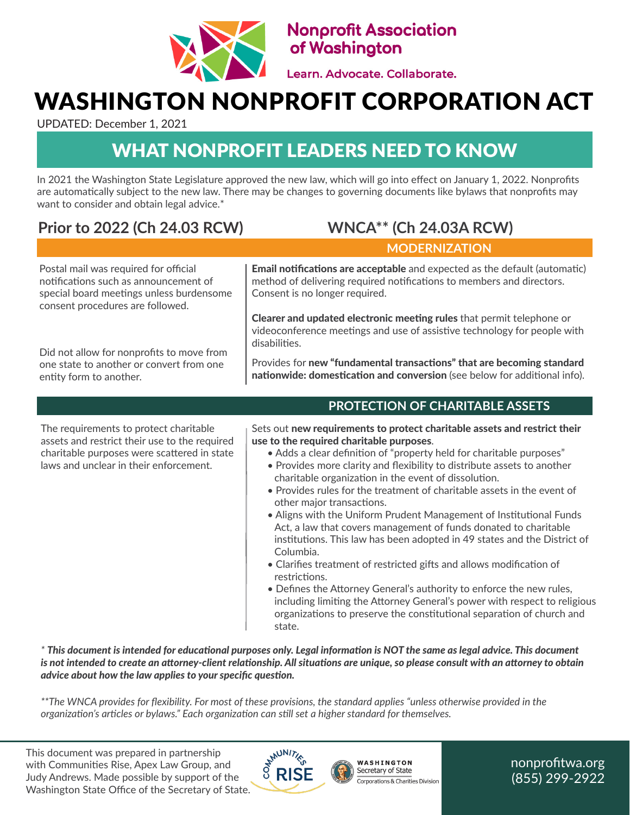

**Nonprofit Association** of Washington

Learn. Advocate. Collaborate.

## WASHINGTON NONPROFIT CORPORATION ACT

UPDATED: December 1, 2021

### WHAT NONPROFIT LEADERS NEED TO KNOW

In 2021 the Washington State Legislature approved the new law, which will go into effect on January 1, 2022. Nonprofits are automatically subject to the new law. There may be changes to governing documents like bylaws that nonprofits may want to consider and obtain legal advice.\*

### **Prior to 2022 (Ch 24.03 RCW) WNCA\*\* (Ch 24.03A RCW)**

### **MODERNIZATION**

Postal mail was required for official notifications such as announcement of special board meetings unless burdensome consent procedures are followed.

Did not allow for nonprofits to move from one state to another or convert from one entity form to another.

Email notifications are acceptable and expected as the default (automatic) method of delivering required notifications to members and directors. Consent is no longer required.

Clearer and updated electronic meeting rules that permit telephone or videoconference meetings and use of assistive technology for people with disabilities.

Provides for new "fundamental transactions" that are becoming standard nationwide: domestication and conversion (see below for additional info).

#### The requirements to protect charitable assets and restrict their use to the required charitable purposes were scattered in state laws and unclear in their enforcement.

 **PROTECTION OF CHARITABLE ASSETS**

Sets out new requirements to protect charitable assets and restrict their use to the required charitable purposes.

- Adds a clear definition of "property held for charitable purposes"
- Provides more clarity and flexibility to distribute assets to another charitable organization in the event of dissolution.
- Provides rules for the treatment of charitable assets in the event of other major transactions.
- Aligns with the Uniform Prudent Management of Institutional Funds Act, a law that covers management of funds donated to charitable institutions. This law has been adopted in 49 states and the District of Columbia.
- Clarifies treatment of restricted gifts and allows modification of restrictions.
- Defines the Attorney General's authority to enforce the new rules, including limiting the Attorney General's power with respect to religious organizations to preserve the constitutional separation of church and state.

*\* This document is intended for educational purposes only. Legal information is NOT the same as legal advice. This document is not intended to create an attorney-client relationship. All situations are unique, so please consult with an attorney to obtain advice about how the law applies to your specific question.*

*\*\*The WNCA provides for flexibility. For most of these provisions, the standard applies "unless otherwise provided in the organization's articles or bylaws." Each organization can still set a higher standard for themselves.*

This document was prepared in partnership with Communities Rise, Apex Law Group, and Judy Andrews. Made possible by support of the Washington State Office of the Secretary of State.





nonprofitwa.org (855) 299-2922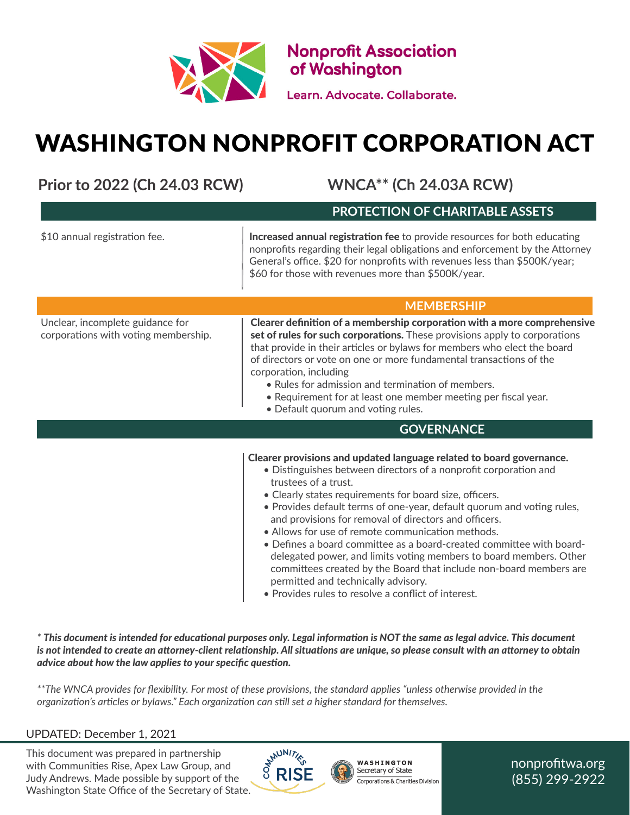

**Nonprofit Association<br>of Washington** 

Learn. Advocate. Collaborate.

# WASHINGTON NONPROFIT CORPORATION ACT

**Prior to 2022 (Ch 24.03 RCW) WNCA\*\* (Ch 24.03A RCW)**

| FIRE TO ZUZZ (CITZT. UJ KU VV)                                           | WINCA ICHZ7.00ARCWI                                                                                                                                                                                                                                                                                                                                                                                                                                                                                                                                                                                                                                                                                                                   |
|--------------------------------------------------------------------------|---------------------------------------------------------------------------------------------------------------------------------------------------------------------------------------------------------------------------------------------------------------------------------------------------------------------------------------------------------------------------------------------------------------------------------------------------------------------------------------------------------------------------------------------------------------------------------------------------------------------------------------------------------------------------------------------------------------------------------------|
|                                                                          | PROTECTION OF CHARITABLE ASSETS                                                                                                                                                                                                                                                                                                                                                                                                                                                                                                                                                                                                                                                                                                       |
| \$10 annual registration fee.                                            | Increased annual registration fee to provide resources for both educating<br>nonprofits regarding their legal obligations and enforcement by the Attorney<br>General's office. \$20 for nonprofits with revenues less than \$500K/year;<br>\$60 for those with revenues more than \$500K/year.                                                                                                                                                                                                                                                                                                                                                                                                                                        |
|                                                                          | <b>MEMBERSHIP</b>                                                                                                                                                                                                                                                                                                                                                                                                                                                                                                                                                                                                                                                                                                                     |
| Unclear, incomplete guidance for<br>corporations with voting membership. | Clearer definition of a membership corporation with a more comprehensive<br>set of rules for such corporations. These provisions apply to corporations<br>that provide in their articles or bylaws for members who elect the board<br>of directors or vote on one or more fundamental transactions of the<br>corporation, including<br>• Rules for admission and termination of members.<br>• Requirement for at least one member meeting per fiscal year.<br>• Default quorum and voting rules.                                                                                                                                                                                                                                      |
|                                                                          | <b>GOVERNANCE</b>                                                                                                                                                                                                                                                                                                                                                                                                                                                                                                                                                                                                                                                                                                                     |
|                                                                          | Clearer provisions and updated language related to board governance.<br>• Distinguishes between directors of a nonprofit corporation and<br>trustees of a trust.<br>• Clearly states requirements for board size, officers.<br>. Provides default terms of one-year, default quorum and voting rules,<br>and provisions for removal of directors and officers.<br>• Allows for use of remote communication methods.<br>• Defines a board committee as a board-created committee with board-<br>delegated power, and limits voting members to board members. Other<br>committees created by the Board that include non-board members are<br>permitted and technically advisory.<br>· Provides rules to resolve a conflict of interest. |

*\* This document is intended for educational purposes only. Legal information is NOT the same as legal advice. This document is not intended to create an attorney-client relationship. All situations are unique, so please consult with an attorney to obtain advice about how the law applies to your specific question.*

*\*\*The WNCA provides for flexibility. For most of these provisions, the standard applies "unless otherwise provided in the organization's articles or bylaws." Each organization can still set a higher standard for themselves.*

#### UPDATED: December 1, 2021

This document was prepared in partnership with Communities Rise, Apex Law Group, and Judy Andrews. Made possible by support of the Washington State Office of the Secretary of State.



WASHINGTON Secretary of State Corporations & Charities Division nonprofitwa.org (855) 299-2922